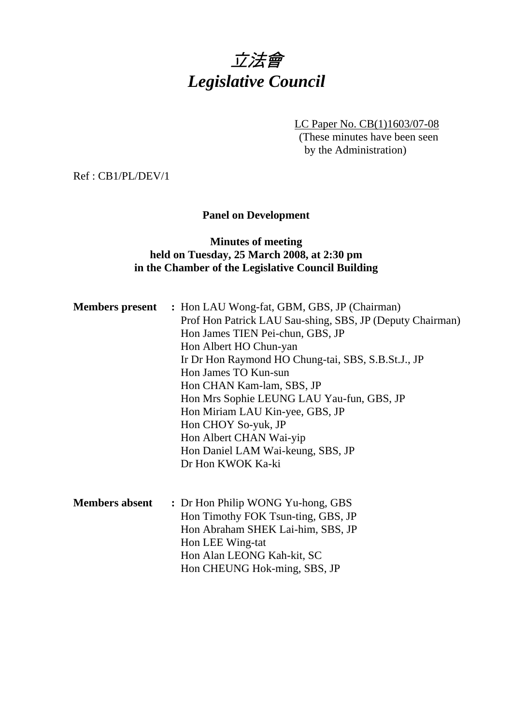# 立法會 *Legislative Council*

LC Paper No. CB(1)1603/07-08

(These minutes have been seen by the Administration)

Ref : CB1/PL/DEV/1

# **Panel on Development**

## **Minutes of meeting held on Tuesday, 25 March 2008, at 2:30 pm in the Chamber of the Legislative Council Building**

|                       | <b>Members present</b> : Hon LAU Wong-fat, GBM, GBS, JP (Chairman)<br>Prof Hon Patrick LAU Sau-shing, SBS, JP (Deputy Chairman)<br>Hon James TIEN Pei-chun, GBS, JP<br>Hon Albert HO Chun-yan<br>Ir Dr Hon Raymond HO Chung-tai, SBS, S.B.St.J., JP<br>Hon James TO Kun-sun<br>Hon CHAN Kam-lam, SBS, JP<br>Hon Mrs Sophie LEUNG LAU Yau-fun, GBS, JP<br>Hon Miriam LAU Kin-yee, GBS, JP<br>Hon CHOY So-yuk, JP<br>Hon Albert CHAN Wai-yip<br>Hon Daniel LAM Wai-keung, SBS, JP<br>Dr Hon KWOK Ka-ki |
|-----------------------|------------------------------------------------------------------------------------------------------------------------------------------------------------------------------------------------------------------------------------------------------------------------------------------------------------------------------------------------------------------------------------------------------------------------------------------------------------------------------------------------------|
| <b>Members absent</b> | : Dr Hon Philip WONG Yu-hong, GBS<br>Hon Timothy FOK Tsun-ting, GBS, JP<br>Hon Abraham SHEK Lai-him, SBS, JP<br>Hon LEE Wing-tat<br>Hon Alan LEONG Kah-kit, SC<br>Hon CHEUNG Hok-ming, SBS, JP                                                                                                                                                                                                                                                                                                       |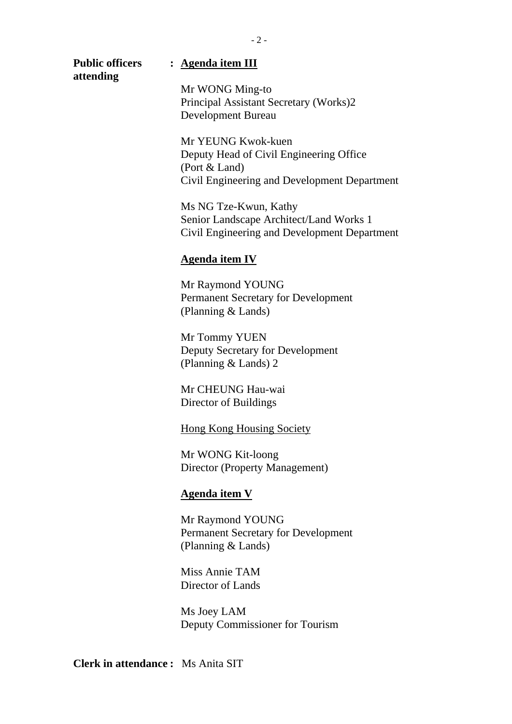| <b>Public officers</b><br>attending | : Agenda item III                                                                       |
|-------------------------------------|-----------------------------------------------------------------------------------------|
|                                     | Mr WONG Ming-to                                                                         |
|                                     | Principal Assistant Secretary (Works)2                                                  |
|                                     | Development Bureau                                                                      |
|                                     | Mr YEUNG Kwok-kuen                                                                      |
|                                     | Deputy Head of Civil Engineering Office<br>(Port & Land)                                |
|                                     | Civil Engineering and Development Department                                            |
|                                     | Ms NG Tze-Kwun, Kathy                                                                   |
|                                     | Senior Landscape Architect/Land Works 1<br>Civil Engineering and Development Department |
|                                     | <b>Agenda item IV</b>                                                                   |
|                                     | Mr Raymond YOUNG                                                                        |
|                                     | Permanent Secretary for Development<br>(Planning & Lands)                               |
|                                     | Mr Tommy YUEN                                                                           |
|                                     | Deputy Secretary for Development                                                        |
|                                     | (Planning $&$ Lands) 2                                                                  |

Mr CHEUNG Hau-wai Director of Buildings

Hong Kong Housing Society

Mr WONG Kit-loong Director (Property Management)

# **Agenda item V**

Mr Raymond YOUNG Permanent Secretary for Development (Planning & Lands)

Miss Annie TAM Director of Lands

Ms Joey LAM Deputy Commissioner for Tourism

**Clerk in attendance :** Ms Anita SIT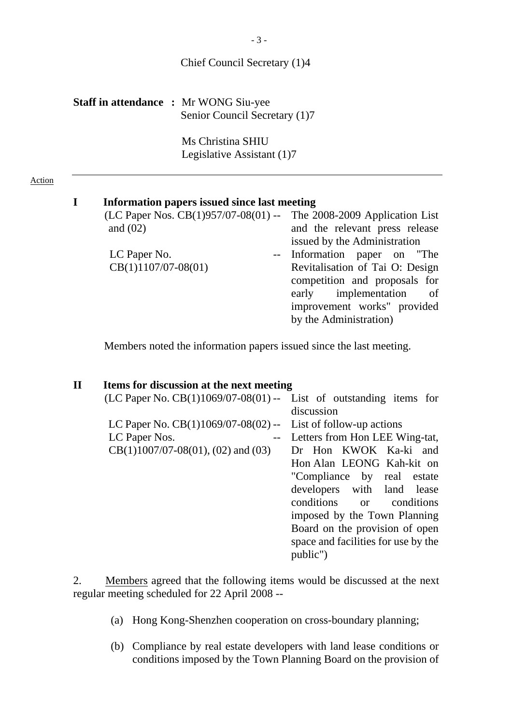### Chief Council Secretary (1)4

| <b>Staff in attendance : Mr WONG Siu-yee</b> |                               |
|----------------------------------------------|-------------------------------|
|                                              | Senior Council Secretary (1)7 |

 Ms Christina SHIU Legislative Assistant (1)7

#### Action

## **I Information papers issued since last meeting**

| (LC Paper Nos. $CB(1)957/07-08(01)$ -- | The 2008-2009 Application List  |
|----------------------------------------|---------------------------------|
| and $(02)$                             | and the relevant press release  |
|                                        | issued by the Administration    |
| LC Paper No.                           | -- Information paper on "The    |
| $CB(1)1107/07-08(01)$                  | Revitalisation of Tai O: Design |
|                                        | competition and proposals for   |
|                                        | early implementation<br>of      |
|                                        | improvement works" provided     |
|                                        | by the Administration)          |
|                                        |                                 |

Members noted the information papers issued since the last meeting.

## **II Items for discussion at the next meeting**

| $(LC$ Paper No. $CB(1)1069/07-08(01)$ -- List of outstanding items for |                                     |
|------------------------------------------------------------------------|-------------------------------------|
|                                                                        | discussion                          |
| LC Paper No. $CB(1)1069/07-08(02)$ -- List of follow-up actions        |                                     |
| LC Paper Nos.                                                          | Letters from Hon LEE Wing-tat,      |
| $CB(1)1007/07-08(01), (02)$ and $(03)$                                 | Dr Hon KWOK Ka-ki and               |
|                                                                        | Hon Alan LEONG Kah-kit on           |
|                                                                        | "Compliance by real estate"         |
|                                                                        | developers with land lease          |
|                                                                        | conditions or conditions            |
|                                                                        | imposed by the Town Planning        |
|                                                                        | Board on the provision of open      |
|                                                                        | space and facilities for use by the |
|                                                                        | public")                            |
|                                                                        |                                     |

2. Members agreed that the following items would be discussed at the next regular meeting scheduled for 22 April 2008 --

- (a) Hong Kong-Shenzhen cooperation on cross-boundary planning;
- (b) Compliance by real estate developers with land lease conditions or conditions imposed by the Town Planning Board on the provision of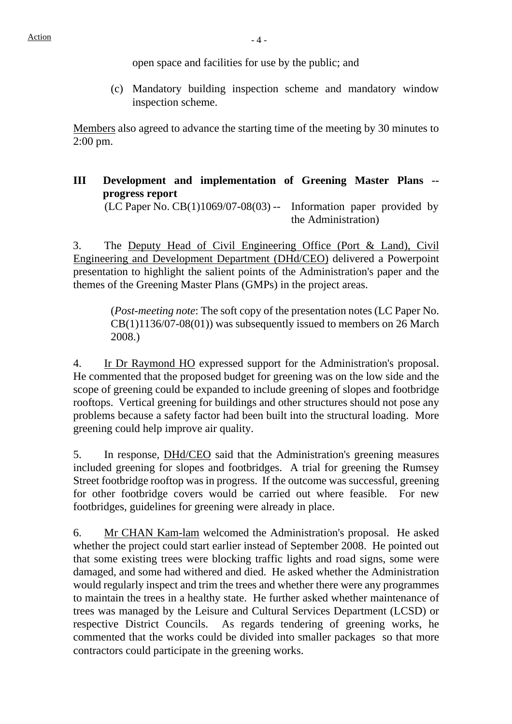open space and facilities for use by the public; and

(c) Mandatory building inspection scheme and mandatory window inspection scheme.

Members also agreed to advance the starting time of the meeting by 30 minutes to 2:00 pm.

**III Development and implementation of Greening Master Plans - progress report**   $(LC$  Paper No.  $CB(1)1069/07-08(03)$  -- Information paper provided by the Administration)

3. The Deputy Head of Civil Engineering Office (Port & Land), Civil Engineering and Development Department (DHd/CEO) delivered a Powerpoint presentation to highlight the salient points of the Administration's paper and the themes of the Greening Master Plans (GMPs) in the project areas.

> (*Post-meeting note*: The soft copy of the presentation notes (LC Paper No.  $CB(1)1136/07-08(01)$  was subsequently issued to members on 26 March 2008.)

4. Ir Dr Raymond HO expressed support for the Administration's proposal. He commented that the proposed budget for greening was on the low side and the scope of greening could be expanded to include greening of slopes and footbridge rooftops. Vertical greening for buildings and other structures should not pose any problems because a safety factor had been built into the structural loading. More greening could help improve air quality.

5. In response, DHd/CEO said that the Administration's greening measures included greening for slopes and footbridges. A trial for greening the Rumsey Street footbridge rooftop was in progress. If the outcome was successful, greening for other footbridge covers would be carried out where feasible. For new footbridges, guidelines for greening were already in place.

6. Mr CHAN Kam-lam welcomed the Administration's proposal. He asked whether the project could start earlier instead of September 2008. He pointed out that some existing trees were blocking traffic lights and road signs, some were damaged, and some had withered and died. He asked whether the Administration would regularly inspect and trim the trees and whether there were any programmes to maintain the trees in a healthy state. He further asked whether maintenance of trees was managed by the Leisure and Cultural Services Department (LCSD) or respective District Councils. As regards tendering of greening works, he commented that the works could be divided into smaller packages so that more contractors could participate in the greening works.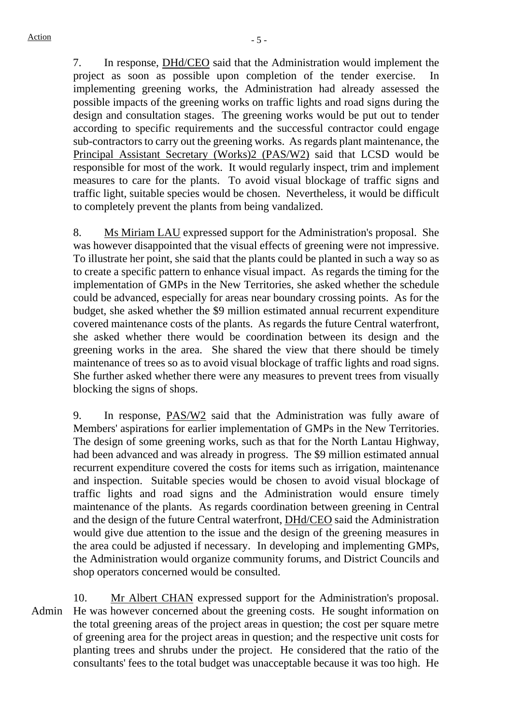7. In response, DHd/CEO said that the Administration would implement the project as soon as possible upon completion of the tender exercise. In implementing greening works, the Administration had already assessed the possible impacts of the greening works on traffic lights and road signs during the design and consultation stages. The greening works would be put out to tender according to specific requirements and the successful contractor could engage sub-contractors to carry out the greening works. As regards plant maintenance, the Principal Assistant Secretary (Works)2 (PAS/W2) said that LCSD would be responsible for most of the work. It would regularly inspect, trim and implement measures to care for the plants. To avoid visual blockage of traffic signs and traffic light, suitable species would be chosen. Nevertheless, it would be difficult to completely prevent the plants from being vandalized.

8. Ms Miriam LAU expressed support for the Administration's proposal. She was however disappointed that the visual effects of greening were not impressive. To illustrate her point, she said that the plants could be planted in such a way so as to create a specific pattern to enhance visual impact. As regards the timing for the implementation of GMPs in the New Territories, she asked whether the schedule could be advanced, especially for areas near boundary crossing points. As for the budget, she asked whether the \$9 million estimated annual recurrent expenditure covered maintenance costs of the plants. As regards the future Central waterfront, she asked whether there would be coordination between its design and the greening works in the area. She shared the view that there should be timely maintenance of trees so as to avoid visual blockage of traffic lights and road signs. She further asked whether there were any measures to prevent trees from visually blocking the signs of shops.

9. In response, PAS/W2 said that the Administration was fully aware of Members' aspirations for earlier implementation of GMPs in the New Territories. The design of some greening works, such as that for the North Lantau Highway, had been advanced and was already in progress. The \$9 million estimated annual recurrent expenditure covered the costs for items such as irrigation, maintenance and inspection. Suitable species would be chosen to avoid visual blockage of traffic lights and road signs and the Administration would ensure timely maintenance of the plants. As regards coordination between greening in Central and the design of the future Central waterfront, DHd/CEO said the Administration would give due attention to the issue and the design of the greening measures in the area could be adjusted if necessary. In developing and implementing GMPs, the Administration would organize community forums, and District Councils and shop operators concerned would be consulted.

Admin 10. Mr Albert CHAN expressed support for the Administration's proposal. He was however concerned about the greening costs. He sought information on the total greening areas of the project areas in question; the cost per square metre of greening area for the project areas in question; and the respective unit costs for planting trees and shrubs under the project. He considered that the ratio of the consultants' fees to the total budget was unacceptable because it was too high. He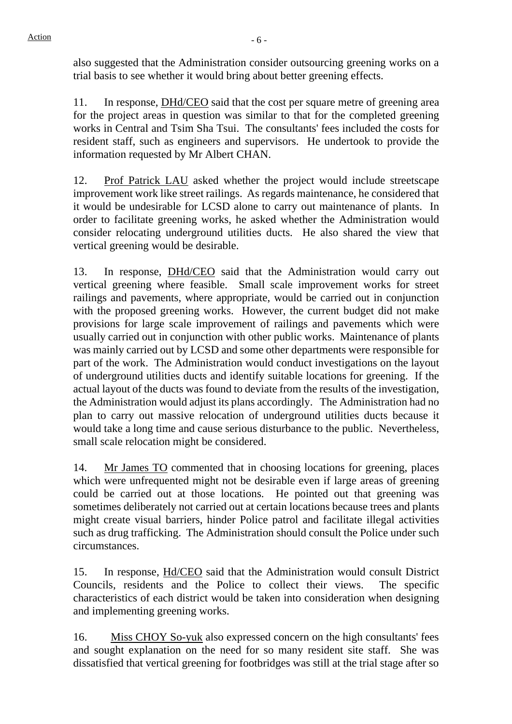also suggested that the Administration consider outsourcing greening works on a trial basis to see whether it would bring about better greening effects.

11. In response, DHd/CEO said that the cost per square metre of greening area for the project areas in question was similar to that for the completed greening works in Central and Tsim Sha Tsui. The consultants' fees included the costs for resident staff, such as engineers and supervisors. He undertook to provide the information requested by Mr Albert CHAN.

12. Prof Patrick LAU asked whether the project would include streetscape improvement work like street railings. As regards maintenance, he considered that it would be undesirable for LCSD alone to carry out maintenance of plants. In order to facilitate greening works, he asked whether the Administration would consider relocating underground utilities ducts. He also shared the view that vertical greening would be desirable.

13. In response, DHd/CEO said that the Administration would carry out vertical greening where feasible. Small scale improvement works for street railings and pavements, where appropriate, would be carried out in conjunction with the proposed greening works. However, the current budget did not make provisions for large scale improvement of railings and pavements which were usually carried out in conjunction with other public works. Maintenance of plants was mainly carried out by LCSD and some other departments were responsible for part of the work. The Administration would conduct investigations on the layout of underground utilities ducts and identify suitable locations for greening. If the actual layout of the ducts was found to deviate from the results of the investigation, the Administration would adjust its plans accordingly. The Administration had no plan to carry out massive relocation of underground utilities ducts because it would take a long time and cause serious disturbance to the public. Nevertheless, small scale relocation might be considered.

14. Mr James TO commented that in choosing locations for greening, places which were unfrequented might not be desirable even if large areas of greening could be carried out at those locations. He pointed out that greening was sometimes deliberately not carried out at certain locations because trees and plants might create visual barriers, hinder Police patrol and facilitate illegal activities such as drug trafficking. The Administration should consult the Police under such circumstances.

15. In response, Hd/CEO said that the Administration would consult District Councils, residents and the Police to collect their views. The specific characteristics of each district would be taken into consideration when designing and implementing greening works.

16. Miss CHOY So-yuk also expressed concern on the high consultants' fees and sought explanation on the need for so many resident site staff. She was dissatisfied that vertical greening for footbridges was still at the trial stage after so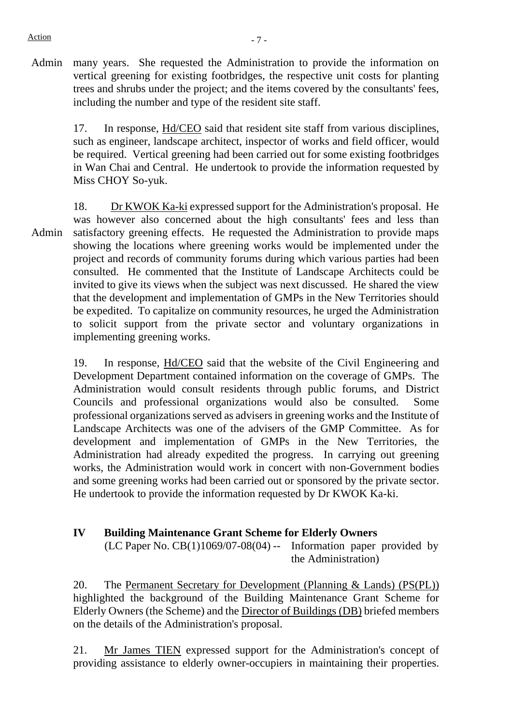Admin many years. She requested the Administration to provide the information on vertical greening for existing footbridges, the respective unit costs for planting trees and shrubs under the project; and the items covered by the consultants' fees, including the number and type of the resident site staff.

17. In response, Hd/CEO said that resident site staff from various disciplines, such as engineer, landscape architect, inspector of works and field officer, would be required. Vertical greening had been carried out for some existing footbridges in Wan Chai and Central. He undertook to provide the information requested by Miss CHOY So-yuk.

Admin 18. Dr KWOK Ka-ki expressed support for the Administration's proposal. He was however also concerned about the high consultants' fees and less than satisfactory greening effects. He requested the Administration to provide maps showing the locations where greening works would be implemented under the project and records of community forums during which various parties had been consulted. He commented that the Institute of Landscape Architects could be invited to give its views when the subject was next discussed. He shared the view that the development and implementation of GMPs in the New Territories should be expedited. To capitalize on community resources, he urged the Administration to solicit support from the private sector and voluntary organizations in implementing greening works.

19. In response, Hd/CEO said that the website of the Civil Engineering and Development Department contained information on the coverage of GMPs. The Administration would consult residents through public forums, and District Councils and professional organizations would also be consulted. Some professional organizations served as advisers in greening works and the Institute of Landscape Architects was one of the advisers of the GMP Committee. As for development and implementation of GMPs in the New Territories, the Administration had already expedited the progress. In carrying out greening works, the Administration would work in concert with non-Government bodies and some greening works had been carried out or sponsored by the private sector. He undertook to provide the information requested by Dr KWOK Ka-ki.

# **IV Building Maintenance Grant Scheme for Elderly Owners**

(LC Paper No.  $CB(1)1069/07-08(04)$  -- Information paper provided by the Administration)

20. The Permanent Secretary for Development (Planning & Lands) (PS(PL)) highlighted the background of the Building Maintenance Grant Scheme for Elderly Owners (the Scheme) and the Director of Buildings (DB) briefed members on the details of the Administration's proposal.

21. Mr James TIEN expressed support for the Administration's concept of providing assistance to elderly owner-occupiers in maintaining their properties.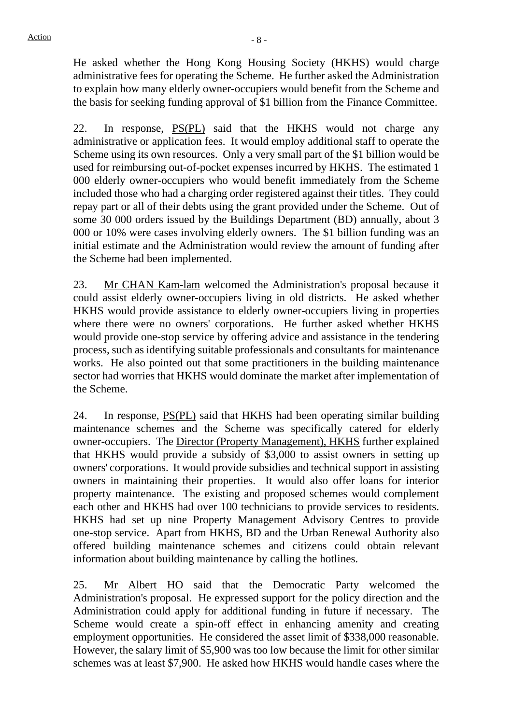He asked whether the Hong Kong Housing Society (HKHS) would charge administrative fees for operating the Scheme. He further asked the Administration to explain how many elderly owner-occupiers would benefit from the Scheme and the basis for seeking funding approval of \$1 billion from the Finance Committee.

22. In response, PS(PL) said that the HKHS would not charge any administrative or application fees. It would employ additional staff to operate the Scheme using its own resources. Only a very small part of the \$1 billion would be used for reimbursing out-of-pocket expenses incurred by HKHS. The estimated 1 000 elderly owner-occupiers who would benefit immediately from the Scheme included those who had a charging order registered against their titles. They could repay part or all of their debts using the grant provided under the Scheme. Out of some 30 000 orders issued by the Buildings Department (BD) annually, about 3 000 or 10% were cases involving elderly owners. The \$1 billion funding was an initial estimate and the Administration would review the amount of funding after the Scheme had been implemented.

23. Mr CHAN Kam-lam welcomed the Administration's proposal because it could assist elderly owner-occupiers living in old districts. He asked whether HKHS would provide assistance to elderly owner-occupiers living in properties where there were no owners' corporations. He further asked whether HKHS would provide one-stop service by offering advice and assistance in the tendering process, such as identifying suitable professionals and consultants for maintenance works. He also pointed out that some practitioners in the building maintenance sector had worries that HKHS would dominate the market after implementation of the Scheme.

24. In response, PS(PL) said that HKHS had been operating similar building maintenance schemes and the Scheme was specifically catered for elderly owner-occupiers. The Director (Property Management), HKHS further explained that HKHS would provide a subsidy of \$3,000 to assist owners in setting up owners' corporations. It would provide subsidies and technical support in assisting owners in maintaining their properties. It would also offer loans for interior property maintenance. The existing and proposed schemes would complement each other and HKHS had over 100 technicians to provide services to residents. HKHS had set up nine Property Management Advisory Centres to provide one-stop service. Apart from HKHS, BD and the Urban Renewal Authority also offered building maintenance schemes and citizens could obtain relevant information about building maintenance by calling the hotlines.

25. Mr Albert HO said that the Democratic Party welcomed the Administration's proposal. He expressed support for the policy direction and the Administration could apply for additional funding in future if necessary. The Scheme would create a spin-off effect in enhancing amenity and creating employment opportunities. He considered the asset limit of \$338,000 reasonable. However, the salary limit of \$5,900 was too low because the limit for other similar schemes was at least \$7,900. He asked how HKHS would handle cases where the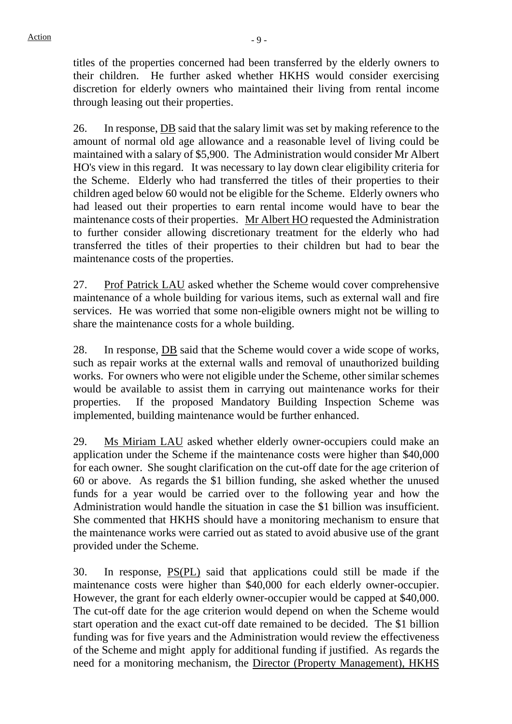titles of the properties concerned had been transferred by the elderly owners to their children. He further asked whether HKHS would consider exercising discretion for elderly owners who maintained their living from rental income through leasing out their properties.

26. In response, DB said that the salary limit was set by making reference to the amount of normal old age allowance and a reasonable level of living could be maintained with a salary of \$5,900. The Administration would consider Mr Albert HO's view in this regard. It was necessary to lay down clear eligibility criteria for the Scheme. Elderly who had transferred the titles of their properties to their children aged below 60 would not be eligible for the Scheme. Elderly owners who had leased out their properties to earn rental income would have to bear the maintenance costs of their properties. Mr Albert HO requested the Administration to further consider allowing discretionary treatment for the elderly who had transferred the titles of their properties to their children but had to bear the maintenance costs of the properties.

27. Prof Patrick LAU asked whether the Scheme would cover comprehensive maintenance of a whole building for various items, such as external wall and fire services. He was worried that some non-eligible owners might not be willing to share the maintenance costs for a whole building.

28. In response, **DB** said that the Scheme would cover a wide scope of works, such as repair works at the external walls and removal of unauthorized building works. For owners who were not eligible under the Scheme, other similar schemes would be available to assist them in carrying out maintenance works for their properties. If the proposed Mandatory Building Inspection Scheme was implemented, building maintenance would be further enhanced.

29. Ms Miriam LAU asked whether elderly owner-occupiers could make an application under the Scheme if the maintenance costs were higher than \$40,000 for each owner. She sought clarification on the cut-off date for the age criterion of 60 or above. As regards the \$1 billion funding, she asked whether the unused funds for a year would be carried over to the following year and how the Administration would handle the situation in case the \$1 billion was insufficient. She commented that HKHS should have a monitoring mechanism to ensure that the maintenance works were carried out as stated to avoid abusive use of the grant provided under the Scheme.

30. In response, PS(PL) said that applications could still be made if the maintenance costs were higher than \$40,000 for each elderly owner-occupier. However, the grant for each elderly owner-occupier would be capped at \$40,000. The cut-off date for the age criterion would depend on when the Scheme would start operation and the exact cut-off date remained to be decided. The \$1 billion funding was for five years and the Administration would review the effectiveness of the Scheme and might apply for additional funding if justified. As regards the need for a monitoring mechanism, the Director (Property Management), HKHS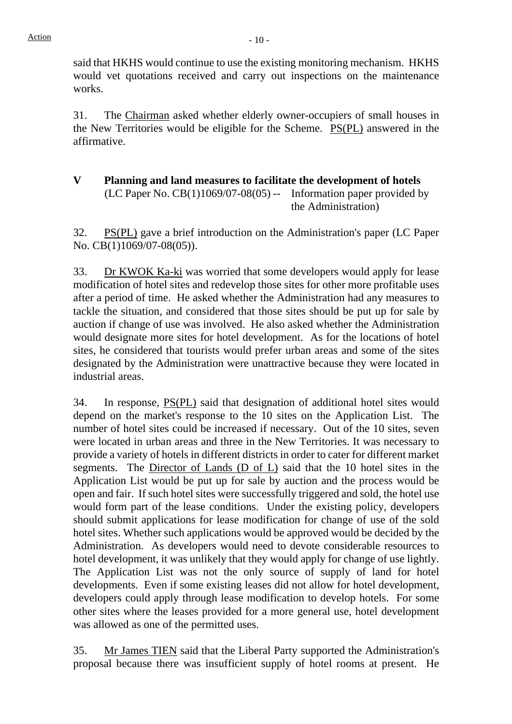said that HKHS would continue to use the existing monitoring mechanism. HKHS would vet quotations received and carry out inspections on the maintenance works.

31. The Chairman asked whether elderly owner-occupiers of small houses in the New Territories would be eligible for the Scheme. PS(PL) answered in the affirmative.

**V Planning and land measures to facilitate the development of hotels**   $(LC$  Paper No.  $CB(1)1069/07-08(05)$  -- Information paper provided by the Administration)

32. PS(PL) gave a brief introduction on the Administration's paper (LC Paper No. CB(1)1069/07-08(05)).

33. Dr KWOK Ka-ki was worried that some developers would apply for lease modification of hotel sites and redevelop those sites for other more profitable uses after a period of time. He asked whether the Administration had any measures to tackle the situation, and considered that those sites should be put up for sale by auction if change of use was involved. He also asked whether the Administration would designate more sites for hotel development. As for the locations of hotel sites, he considered that tourists would prefer urban areas and some of the sites designated by the Administration were unattractive because they were located in industrial areas.

34. In response, PS(PL) said that designation of additional hotel sites would depend on the market's response to the 10 sites on the Application List. The number of hotel sites could be increased if necessary. Out of the 10 sites, seven were located in urban areas and three in the New Territories. It was necessary to provide a variety of hotels in different districts in order to cater for different market segments. The Director of Lands (D of L) said that the 10 hotel sites in the Application List would be put up for sale by auction and the process would be open and fair. If such hotel sites were successfully triggered and sold, the hotel use would form part of the lease conditions. Under the existing policy, developers should submit applications for lease modification for change of use of the sold hotel sites. Whether such applications would be approved would be decided by the Administration. As developers would need to devote considerable resources to hotel development, it was unlikely that they would apply for change of use lightly. The Application List was not the only source of supply of land for hotel developments. Even if some existing leases did not allow for hotel development, developers could apply through lease modification to develop hotels. For some other sites where the leases provided for a more general use, hotel development was allowed as one of the permitted uses.

35. Mr James TIEN said that the Liberal Party supported the Administration's proposal because there was insufficient supply of hotel rooms at present. He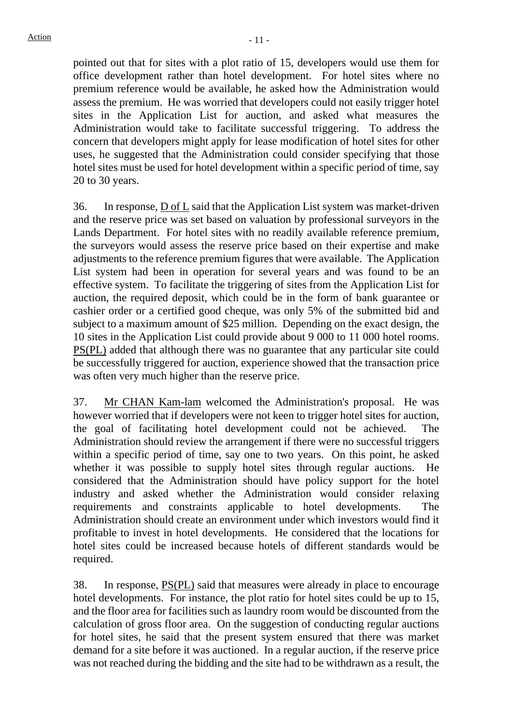pointed out that for sites with a plot ratio of 15, developers would use them for office development rather than hotel development. For hotel sites where no premium reference would be available, he asked how the Administration would assess the premium. He was worried that developers could not easily trigger hotel sites in the Application List for auction, and asked what measures the Administration would take to facilitate successful triggering. To address the concern that developers might apply for lease modification of hotel sites for other uses, he suggested that the Administration could consider specifying that those hotel sites must be used for hotel development within a specific period of time, say 20 to 30 years.

36. In response, D of L said that the Application List system was market-driven and the reserve price was set based on valuation by professional surveyors in the Lands Department. For hotel sites with no readily available reference premium, the surveyors would assess the reserve price based on their expertise and make adjustments to the reference premium figures that were available. The Application List system had been in operation for several years and was found to be an effective system. To facilitate the triggering of sites from the Application List for auction, the required deposit, which could be in the form of bank guarantee or cashier order or a certified good cheque, was only 5% of the submitted bid and subject to a maximum amount of \$25 million. Depending on the exact design, the 10 sites in the Application List could provide about 9 000 to 11 000 hotel rooms. PS(PL) added that although there was no guarantee that any particular site could be successfully triggered for auction, experience showed that the transaction price was often very much higher than the reserve price.

37. Mr CHAN Kam-lam welcomed the Administration's proposal. He was however worried that if developers were not keen to trigger hotel sites for auction, the goal of facilitating hotel development could not be achieved. The Administration should review the arrangement if there were no successful triggers within a specific period of time, say one to two years. On this point, he asked whether it was possible to supply hotel sites through regular auctions. He considered that the Administration should have policy support for the hotel industry and asked whether the Administration would consider relaxing requirements and constraints applicable to hotel developments. The Administration should create an environment under which investors would find it profitable to invest in hotel developments. He considered that the locations for hotel sites could be increased because hotels of different standards would be required.

38. In response, PS(PL) said that measures were already in place to encourage hotel developments. For instance, the plot ratio for hotel sites could be up to 15, and the floor area for facilities such as laundry room would be discounted from the calculation of gross floor area. On the suggestion of conducting regular auctions for hotel sites, he said that the present system ensured that there was market demand for a site before it was auctioned. In a regular auction, if the reserve price was not reached during the bidding and the site had to be withdrawn as a result, the